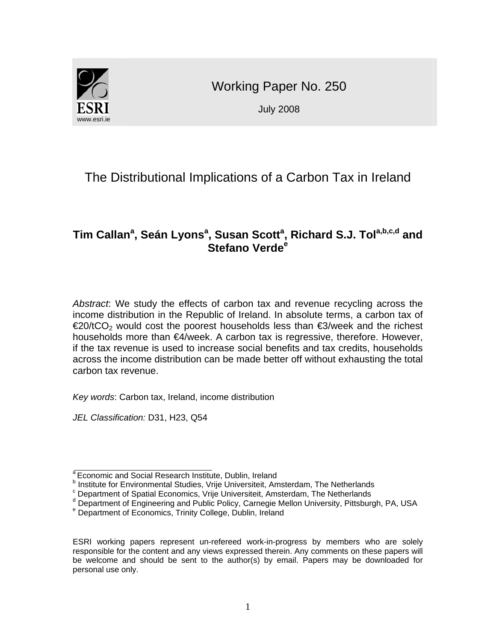

Working Paper No. 250

July 2008

# The Distributional Implications of a Carbon Tax in Ireland

# $\mathsf{Tim}$  Callan $^{\mathsf{a}},$  Seán Lyons $^{\mathsf{a}},$  Susan Scott $^{\mathsf{a}},$  Richard S.J. Tol $^{\mathsf{a},\mathsf{b},\mathsf{c},\mathsf{d}}$  and **Stefano Verde<sup>e</sup>**

*Abstract*: We study the effects of carbon tax and revenue recycling across the income distribution in the Republic of Ireland. In absolute terms, a carbon tax of  $\epsilon$ 20/tCO<sub>2</sub> would cost the poorest households less than  $\epsilon$ 3/week and the richest households more than €4/week. A carbon tax is regressive, therefore. However, if the tax revenue is used to increase social benefits and tax credits, households across the income distribution can be made better off without exhausting the total carbon tax revenue.

*Key words*: Carbon tax, Ireland, income distribution

*JEL Classification:* D31, H23, Q54

 $\overline{a}$ 

<sup>&</sup>lt;sup>a</sup> Economic and Social Research Institute, Dublin, Ireland

<sup>&</sup>lt;sup>b</sup> Institute for Environmental Studies, Vrije Universiteit, Amsterdam, The Netherlands<br><sup>c</sup> Department of Spatial Economics, Vrije Universiteit, Amsterdam, The Netherlands

Department of Spatial Economics, Vrije Universiteit, Amsterdam, The Netherlands

<sup>&</sup>lt;sup>d</sup> Department of Engineering and Public Policy, Carnegie Mellon University, Pittsburgh, PA, USA

<sup>&</sup>lt;sup>e</sup> Department of Economics, Trinity College, Dublin, Ireland

ESRI working papers represent un-refereed work-in-progress by members who are solely responsible for the content and any views expressed therein. Any comments on these papers will be welcome and should be sent to the author(s) by email. Papers may be downloaded for personal use only.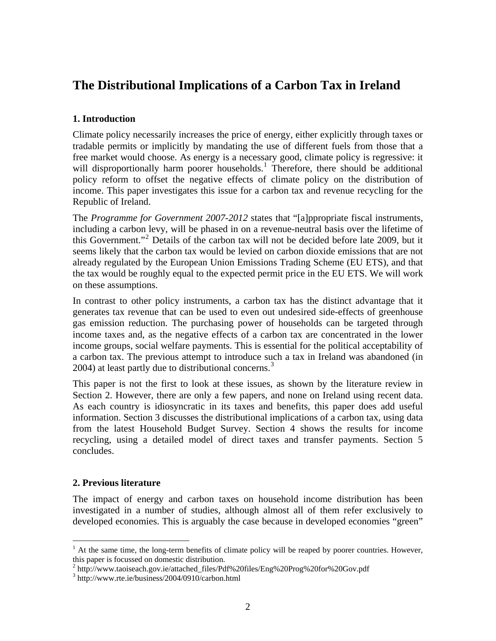# **The Distributional Implications of a Carbon Tax in Ireland**

## **1. Introduction**

Climate policy necessarily increases the price of energy, either explicitly through taxes or tradable permits or implicitly by mandating the use of different fuels from those that a free market would choose. As energy is a necessary good, climate policy is regressive: it will disproportionally harm poorer households.<sup>[1](#page-1-0)</sup> Therefore, there should be additional policy reform to offset the negative effects of climate policy on the distribution of income. This paper investigates this issue for a carbon tax and revenue recycling for the Republic of Ireland.

The *Programme for Government 2007-2012* states that "[a]ppropriate fiscal instruments, including a carbon levy, will be phased in on a revenue-neutral basis over the lifetime of this Government."[2](#page-1-1) Details of the carbon tax will not be decided before late 2009, but it seems likely that the carbon tax would be levied on carbon dioxide emissions that are not already regulated by the European Union Emissions Trading Scheme (EU ETS), and that the tax would be roughly equal to the expected permit price in the EU ETS. We will work on these assumptions.

In contrast to other policy instruments, a carbon tax has the distinct advantage that it generates tax revenue that can be used to even out undesired side-effects of greenhouse gas emission reduction. The purchasing power of households can be targeted through income taxes and, as the negative effects of a carbon tax are concentrated in the lower income groups, social welfare payments. This is essential for the political acceptability of a carbon tax. The previous attempt to introduce such a tax in Ireland was abandoned (in 2004) at least partly due to distributional concerns.<sup>[3](#page-1-2)</sup>

This paper is not the first to look at these issues, as shown by the literature review in Section 2. However, there are only a few papers, and none on Ireland using recent data. As each country is idiosyncratic in its taxes and benefits, this paper does add useful information. Section 3 discusses the distributional implications of a carbon tax, using data from the latest Household Budget Survey. Section 4 shows the results for income recycling, using a detailed model of direct taxes and transfer payments. Section 5 concludes.

## **2. Previous literature**

 $\overline{a}$ 

The impact of energy and carbon taxes on household income distribution has been investigated in a number of studies, although almost all of them refer exclusively to developed economies. This is arguably the case because in developed economies "green"

<span id="page-1-0"></span> $<sup>1</sup>$  At the same time, the long-term benefits of climate policy will be reaped by poorer countries. However,</sup> this paper is focussed on domestic distribution.

<sup>&</sup>lt;sup>2</sup> http://www.taoiseach.gov.ie/attached\_files/Pdf%20files/Eng%20Prog%20for%20Gov.pdf<br><sup>3</sup> http://www.rta.jo/business/2004/0010/earbon.html

<span id="page-1-2"></span><span id="page-1-1"></span>http://www.rte.ie/business/2004/0910/carbon.html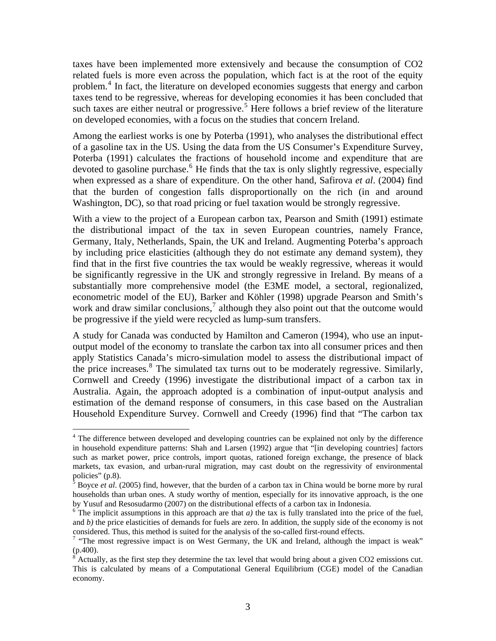taxes have been implemented more extensively and because the consumption of CO2 related fuels is more even across the population, which fact is at the root of the equity problem.<sup>[4](#page-2-0)</sup> In fact, the literature on developed economies suggests that energy and carbon taxes tend to be regressive, whereas for developing economies it has been concluded that such taxes are either neutral or progressive.<sup>[5](#page-2-1)</sup> Here follows a brief review of the literature on developed economies, with a focus on the studies that concern Ireland.

Among the earliest works is one by Poterba (1991), who analyses the distributional effect of a gasoline tax in the US. Using the data from the US Consumer's Expenditure Survey, Poterba (1991) calculates the fractions of household income and expenditure that are devoted to gasoline purchase.<sup>[6](#page-2-2)</sup> He finds that the tax is only slightly regressive, especially when expressed as a share of expenditure. On the other hand, Safirova *et al*. (2004) find that the burden of congestion falls disproportionally on the rich (in and around Washington, DC), so that road pricing or fuel taxation would be strongly regressive.

With a view to the project of a European carbon tax, Pearson and Smith (1991) estimate the distributional impact of the tax in seven European countries, namely France, Germany, Italy, Netherlands, Spain, the UK and Ireland. Augmenting Poterba's approach by including price elasticities (although they do not estimate any demand system), they find that in the first five countries the tax would be weakly regressive, whereas it would be significantly regressive in the UK and strongly regressive in Ireland. By means of a substantially more comprehensive model (the E3ME model, a sectoral, regionalized, econometric model of the EU), Barker and Köhler (1998) upgrade Pearson and Smith's work and draw similar conclusions, $^7$  $^7$  although they also point out that the outcome would be progressive if the yield were recycled as lump-sum transfers.

A study for Canada was conducted by Hamilton and Cameron (1994), who use an inputoutput model of the economy to translate the carbon tax into all consumer prices and then apply Statistics Canada's micro-simulation model to assess the distributional impact of the price increases.<sup>[8](#page-2-4)</sup> The simulated tax turns out to be moderately regressive. Similarly, Cornwell and Creedy (1996) investigate the distributional impact of a carbon tax in Australia. Again, the approach adopted is a combination of input-output analysis and estimation of the demand response of consumers, in this case based on the Australian Household Expenditure Survey. Cornwell and Creedy (1996) find that "The carbon tax

<span id="page-2-0"></span><sup>&</sup>lt;sup>4</sup> The difference between developed and developing countries can be explained not only by the difference in household expenditure patterns: Shah and Larsen (1992) argue that "[in developing countries] factors such as market power, price controls, import quotas, rationed foreign exchange, the presence of black markets, tax evasion, and urban-rural migration, may cast doubt on the regressivity of environmental policies" (p.8).

<span id="page-2-1"></span><sup>&</sup>lt;sup>5</sup> Boyce *et al.* (2005) find, however, that the burden of a carbon tax in China would be borne more by rural households than urban ones. A study worthy of mention, especially for its innovative approach, is the one by Yusuf and Resosudarmo (2007) on the distributional effects of a carbon tax in Indonesia.

<span id="page-2-2"></span> $6$  The implicit assumptions in this approach are that *a*) the tax is fully translated into the price of the fuel, and *b)* the price elasticities of demands for fuels are zero. In addition, the supply side of the economy is not considered. Thus, this method is suited for the analysis of the so-called first-round effects. 7

<span id="page-2-3"></span><sup>&</sup>lt;sup>7</sup> "The most regressive impact is on West Germany, the UK and Ireland, although the impact is weak" (p.400).

<span id="page-2-4"></span> $8^{\circ}$  Actually, as the first step they determine the tax level that would bring about a given CO2 emissions cut. This is calculated by means of a Computational General Equilibrium (CGE) model of the Canadian economy.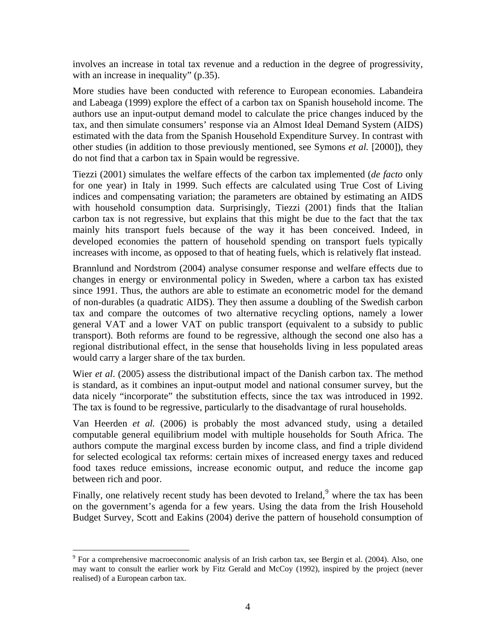involves an increase in total tax revenue and a reduction in the degree of progressivity, with an increase in inequality" (p.35).

More studies have been conducted with reference to European economies. Labandeira and Labeaga (1999) explore the effect of a carbon tax on Spanish household income. The authors use an input-output demand model to calculate the price changes induced by the tax, and then simulate consumers' response via an Almost Ideal Demand System (AIDS) estimated with the data from the Spanish Household Expenditure Survey. In contrast with other studies (in addition to those previously mentioned, see Symons *et al.* [2000]), they do not find that a carbon tax in Spain would be regressive.

Tiezzi (2001) simulates the welfare effects of the carbon tax implemented (*de facto* only for one year) in Italy in 1999. Such effects are calculated using True Cost of Living indices and compensating variation; the parameters are obtained by estimating an AIDS with household consumption data. Surprisingly, Tiezzi (2001) finds that the Italian carbon tax is not regressive, but explains that this might be due to the fact that the tax mainly hits transport fuels because of the way it has been conceived. Indeed, in developed economies the pattern of household spending on transport fuels typically increases with income, as opposed to that of heating fuels, which is relatively flat instead.

Brannlund and Nordstrom (2004) analyse consumer response and welfare effects due to changes in energy or environmental policy in Sweden, where a carbon tax has existed since 1991. Thus, the authors are able to estimate an econometric model for the demand of non-durables (a quadratic AIDS). They then assume a doubling of the Swedish carbon tax and compare the outcomes of two alternative recycling options, namely a lower general VAT and a lower VAT on public transport (equivalent to a subsidy to public transport). Both reforms are found to be regressive, although the second one also has a regional distributional effect, in the sense that households living in less populated areas would carry a larger share of the tax burden.

Wier *et al*. (2005) assess the distributional impact of the Danish carbon tax. The method is standard, as it combines an input-output model and national consumer survey, but the data nicely "incorporate" the substitution effects, since the tax was introduced in 1992. The tax is found to be regressive, particularly to the disadvantage of rural households.

Van Heerden *et al.* (2006) is probably the most advanced study, using a detailed computable general equilibrium model with multiple households for South Africa. The authors compute the marginal excess burden by income class, and find a triple dividend for selected ecological tax reforms: certain mixes of increased energy taxes and reduced food taxes reduce emissions, increase economic output, and reduce the income gap between rich and poor.

Finally, one relatively recent study has been devoted to Ireland,  $9$  where the tax has been on the government's agenda for a few years. Using the data from the Irish Household Budget Survey, Scott and Eakins (2004) derive the pattern of household consumption of

 $\overline{a}$ 

<span id="page-3-0"></span><sup>&</sup>lt;sup>9</sup> For a comprehensive macroeconomic analysis of an Irish carbon tax, see Bergin et al. (2004). Also, one may want to consult the earlier work by Fitz Gerald and McCoy (1992), inspired by the project (never realised) of a European carbon tax.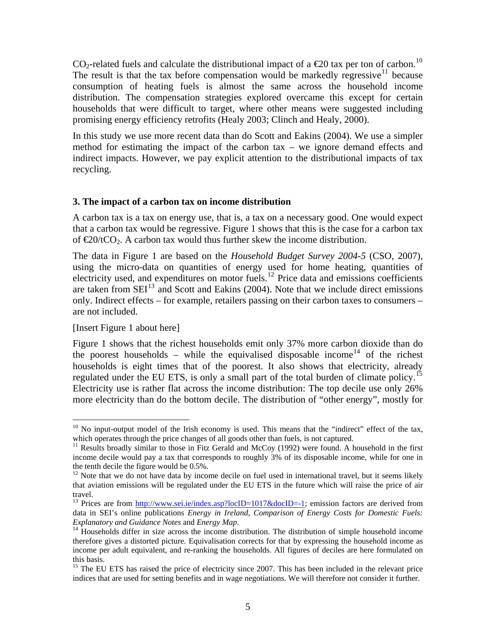CO<sub>2</sub>-related fuels and calculate the distributional impact of a  $\epsilon$ 20 tax per ton of carbon.<sup>[10](#page-4-0)</sup> The result is that the tax before compensation would be markedly regressive<sup>[11](#page-4-1)</sup> because consumption of heating fuels is almost the same across the household income distribution. The compensation strategies explored overcame this except for certain households that were difficult to target, where other means were suggested including promising energy efficiency retrofits (Healy 2003; Clinch and Healy, 2000).

In this study we use more recent data than do Scott and Eakins (2004). We use a simpler method for estimating the impact of the carbon tax – we ignore demand effects and indirect impacts. However, we pay explicit attention to the distributional impacts of tax recycling.

#### **3. The impact of a carbon tax on income distribution**

A carbon tax is a tax on energy use, that is, a tax on a necessary good. One would expect that a carbon tax would be regressive. [Figure 1](#page-11-0) shows that this is the case for a carbon tax of  $\epsilon 20/tCO_2$ . A carbon tax would thus further skew the income distribution.

The data in Figure 1 are based on the *Household Budget Survey 2004-5* (CSO, 2007), using the micro-data on quantities of energy used for home heating, quantities of electricity used, and expenditures on motor fuels.<sup>[12](#page-4-2)</sup> Price data and emissions coefficients are taken from  $SEI<sup>13</sup>$  $SEI<sup>13</sup>$  $SEI<sup>13</sup>$  and Scott and Eakins (2004). Note that we include direct emissions only. Indirect effects – for example, retailers passing on their carbon taxes to consumers – are not included.

#### [Insert [Figure 1](#page-11-0) about here]

 $\overline{a}$ 

[Figure 1](#page-11-0) shows that the richest households emit only 37% more carbon dioxide than do the poorest households – while the equivalised disposable income<sup>[14](#page-4-4)</sup> of the richest households is eight times that of the poorest. It also shows that electricity, already regulated under the EU ETS, is only a small part of the total burden of climate policy.<sup>[15](#page-4-5)</sup> Electricity use is rather flat across the income distribution: The top decile use only 26% more electricity than do the bottom decile. The distribution of "other energy", mostly for

<span id="page-4-0"></span> $10$  No input-output model of the Irish economy is used. This means that the "indirect" effect of the tax, which operates through the price changes of all goods other than fuels, is not captured.

<span id="page-4-1"></span><sup>&</sup>lt;sup>11</sup> Results broadly similar to those in Fitz Gerald and McCoy (1992) were found. A household in the first income decile would pay a tax that corresponds to roughly 3% of its disposable income, while for one in the tenth decile the figure would be 0.5%.

<span id="page-4-2"></span><sup>&</sup>lt;sup>12</sup> Note that we do not have data by income decile on fuel used in international travel, but it seems likely that aviation emissions will be regulated under the EU ETS in the future which will raise the price of air travel.

<span id="page-4-3"></span><sup>&</sup>lt;sup>13</sup> Prices are from [http://www.sei.ie/index.asp?locID=1017&docID=-1;](http://www.sei.ie/index.asp?locID=1017&docID=-1) emission factors are derived from data in SEI's online publications *Energy in Ireland*, *Comparison of Energy Costs for Domestic Fuels: Explanatory and Guidance Notes* and *Energy Map*.<br><sup>14</sup> Households differ in size across the income distribution. The distribution of simple household income

<span id="page-4-4"></span>therefore gives a distorted picture. Equivalisation corrects for that by expressing the household income as income per adult equivalent, and re-ranking the households. All figures of deciles are here formulated on this basis.

<span id="page-4-5"></span><sup>&</sup>lt;sup>15</sup> The EU ETS has raised the price of electricity since 2007. This has been included in the relevant price indices that are used for setting benefits and in wage negotiations. We will therefore not consider it further.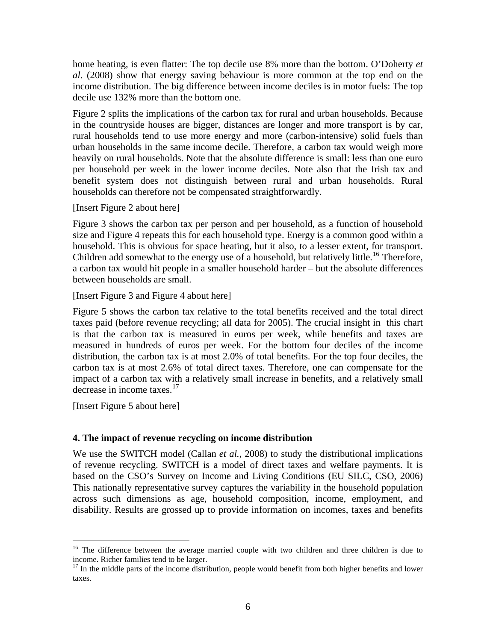home heating, is even flatter: The top decile use 8% more than the bottom. O'Doherty *et al*. (2008) show that energy saving behaviour is more common at the top end on the income distribution. The big difference between income deciles is in motor fuels: The top decile use 132% more than the bottom one.

[Figure 2](#page-12-0) splits the implications of the carbon tax for rural and urban households. Because in the countryside houses are bigger, distances are longer and more transport is by car, rural households tend to use more energy and more (carbon-intensive) solid fuels than urban households in the same income decile. Therefore, a carbon tax would weigh more heavily on rural households. Note that the absolute difference is small: less than one euro per household per week in the lower income deciles. Note also that the Irish tax and benefit system does not distinguish between rural and urban households. Rural households can therefore not be compensated straightforwardly.

[Insert [Figure 2](#page-12-0) about here]

[Figure 3](#page-13-0) shows the carbon tax per person and per household, as a function of household size and [Figure 4](#page-14-0) repeats this for each household type. Energy is a common good within a household. This is obvious for space heating, but it also, to a lesser extent, for transport. Children add somewhat to the energy use of a household, but relatively little.<sup>[16](#page-5-0)</sup> Therefore, a carbon tax would hit people in a smaller household harder – but the absolute differences between households are small.

[Insert [Figure 3](#page-13-0) and [Figure 4](#page-14-0) about here]

[Figure 5](#page-15-0) shows the carbon tax relative to the total benefits received and the total direct taxes paid (before revenue recycling; all data for 2005). The crucial insight in this chart is that the carbon tax is measured in euros per week, while benefits and taxes are measured in hundreds of euros per week. For the bottom four deciles of the income distribution, the carbon tax is at most 2.0% of total benefits. For the top four deciles, the carbon tax is at most 2.6% of total direct taxes. Therefore, one can compensate for the impact of a carbon tax with a relatively small increase in benefits, and a relatively small decrease in income taxes.<sup>[17](#page-5-1)</sup>

[Insert [Figure 5](#page-15-0) about here]

 $\overline{a}$ 

## **4. The impact of revenue recycling on income distribution**

We use the SWITCH model (Callan *et al.*, 2008) to study the distributional implications of revenue recycling. SWITCH is a model of direct taxes and welfare payments. It is based on the CSO's Survey on Income and Living Conditions (EU SILC, CSO, 2006) This nationally representative survey captures the variability in the household population across such dimensions as age, household composition, income, employment, and disability. Results are grossed up to provide information on incomes, taxes and benefits

<span id="page-5-0"></span><sup>&</sup>lt;sup>16</sup> The difference between the average married couple with two children and three children is due to income. Richer families tend to be larger.

<span id="page-5-1"></span> $17$  In the middle parts of the income distribution, people would benefit from both higher benefits and lower taxes.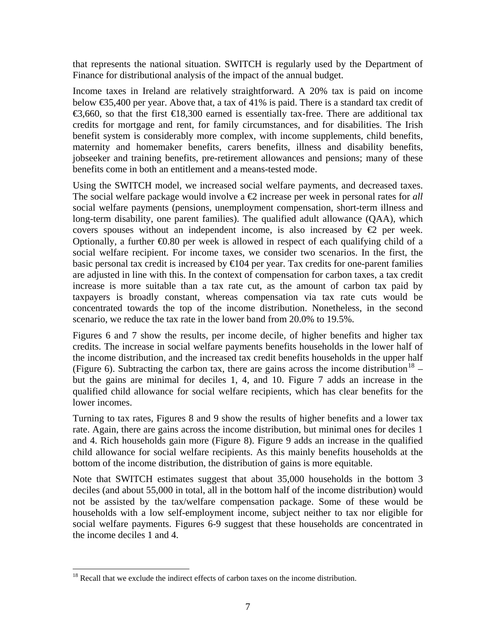that represents the national situation. SWITCH is regularly used by the Department of Finance for distributional analysis of the impact of the annual budget.

Income taxes in Ireland are relatively straightforward. A 20% tax is paid on income below €35,400 per year. Above that, a tax of 41% is paid. There is a standard tax credit of €3,660, so that the first €18,300 earned is essentially tax-free. There are additional tax credits for mortgage and rent, for family circumstances, and for disabilities. The Irish benefit system is considerably more complex, with income supplements, child benefits, maternity and homemaker benefits, carers benefits, illness and disability benefits, jobseeker and training benefits, pre-retirement allowances and pensions; many of these benefits come in both an entitlement and a means-tested mode.

Using the SWITCH model, we increased social welfare payments, and decreased taxes. The social welfare package would involve a €2 increase per week in personal rates for *all* social welfare payments (pensions, unemployment compensation, short-term illness and long-term disability, one parent families). The qualified adult allowance (QAA), which covers spouses without an independent income, is also increased by  $\epsilon$  per week. Optionally, a further  $\epsilon 0.80$  per week is allowed in respect of each qualifying child of a social welfare recipient. For income taxes, we consider two scenarios. In the first, the basic personal tax credit is increased by  $\bigoplus$  04 per year. Tax credits for one-parent families are adjusted in line with this. In the context of compensation for carbon taxes, a tax credit increase is more suitable than a tax rate cut, as the amount of carbon tax paid by taxpayers is broadly constant, whereas compensation via tax rate cuts would be concentrated towards the top of the income distribution. Nonetheless, in the second scenario, we reduce the tax rate in the lower band from 20.0% to 19.5%.

Figures 6 and 7 show the results, per income decile, of higher benefits and higher tax credits. The increase in social welfare payments benefits households in the lower half of the income distribution, and the increased tax credit benefits households in the upper half ([Figure 6\)](#page-16-0). Subtracting the carbon tax, there are gains across the income distribution<sup>[18](#page-6-0)</sup> – but the gains are minimal for deciles 1, 4, and 10. Figure 7 adds an increase in the qualified child allowance for social welfare recipients, which has clear benefits for the lower incomes.

Turning to tax rates, Figures 8 and 9 show the results of higher benefits and a lower tax rate. Again, there are gains across the income distribution, but minimal ones for deciles 1 and 4. Rich households gain more ([Figure 8](#page-18-0)). [Figure 9](#page-19-0) adds an increase in the qualified child allowance for social welfare recipients. As this mainly benefits households at the bottom of the income distribution, the distribution of gains is more equitable.

Note that SWITCH estimates suggest that about 35,000 households in the bottom 3 deciles (and about 55,000 in total, all in the bottom half of the income distribution) would not be assisted by the tax/welfare compensation package. Some of these would be households with a low self-employment income, subject neither to tax nor eligible for social welfare payments. Figures 6-9 suggest that these households are concentrated in the income deciles 1 and 4.

 $\overline{a}$ 

<span id="page-6-0"></span><sup>&</sup>lt;sup>18</sup> Recall that we exclude the indirect effects of carbon taxes on the income distribution.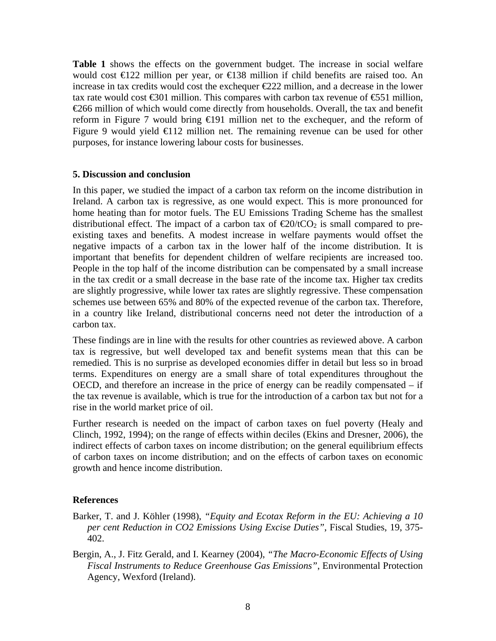**[Table 1](#page-10-0)** shows the effects on the government budget. The increase in social welfare would cost €122 million per year, or €138 million if child benefits are raised too. An increase in tax credits would cost the exchequer €222 million, and a decrease in the lower tax rate would cost  $\epsilon$ 301 million. This compares with carbon tax revenue of  $\epsilon$ 551 million, €266 million of which would come directly from households. Overall, the tax and benefit reform in Figure 7 would bring €191 million net to the exchequer, and the reform of [Figure 9](#page-19-0) would yield  $\bigoplus$  12 million net. The remaining revenue can be used for other purposes, for instance lowering labour costs for businesses.

#### **5. Discussion and conclusion**

In this paper, we studied the impact of a carbon tax reform on the income distribution in Ireland. A carbon tax is regressive, as one would expect. This is more pronounced for home heating than for motor fuels. The EU Emissions Trading Scheme has the smallest distributional effect. The impact of a carbon tax of  $\epsilon \approx 20/\tau C O_2$  is small compared to preexisting taxes and benefits. A modest increase in welfare payments would offset the negative impacts of a carbon tax in the lower half of the income distribution. It is important that benefits for dependent children of welfare recipients are increased too. People in the top half of the income distribution can be compensated by a small increase in the tax credit or a small decrease in the base rate of the income tax. Higher tax credits are slightly progressive, while lower tax rates are slightly regressive. These compensation schemes use between 65% and 80% of the expected revenue of the carbon tax. Therefore, in a country like Ireland, distributional concerns need not deter the introduction of a carbon tax.

These findings are in line with the results for other countries as reviewed above. A carbon tax is regressive, but well developed tax and benefit systems mean that this can be remedied. This is no surprise as developed economies differ in detail but less so in broad terms. Expenditures on energy are a small share of total expenditures throughout the OECD, and therefore an increase in the price of energy can be readily compensated – if the tax revenue is available, which is true for the introduction of a carbon tax but not for a rise in the world market price of oil.

Further research is needed on the impact of carbon taxes on fuel poverty (Healy and Clinch, 1992, 1994); on the range of effects within deciles (Ekins and Dresner, 2006), the indirect effects of carbon taxes on income distribution; on the general equilibrium effects of carbon taxes on income distribution; and on the effects of carbon taxes on economic growth and hence income distribution.

#### **References**

- Barker, T. and J. Köhler (1998), *"Equity and Ecotax Reform in the EU: Achieving a 10 per cent Reduction in CO2 Emissions Using Excise Duties"*, Fiscal Studies, 19, 375- 402.
- Bergin, A., J. Fitz Gerald, and I. Kearney (2004), *"The Macro-Economic Effects of Using Fiscal Instruments to Reduce Greenhouse Gas Emissions"*, Environmental Protection Agency, Wexford (Ireland).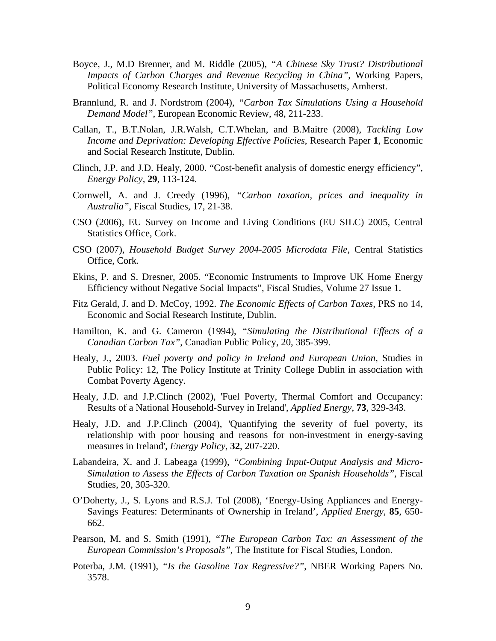- Boyce, J., M.D Brenner, and M. Riddle (2005), *"A Chinese Sky Trust? Distributional Impacts of Carbon Charges and Revenue Recycling in China"*, Working Papers, Political Economy Research Institute, University of Massachusetts, Amherst.
- Brannlund, R. and J. Nordstrom (2004), *"Carbon Tax Simulations Using a Household Demand Model"*, European Economic Review, 48, 211-233.
- Callan, T., B.T.Nolan, J.R.Walsh, C.T.Whelan, and B.Maitre (2008), *Tackling Low Income and Deprivation: Developing Effective Policies*, Research Paper **1**, Economic and Social Research Institute, Dublin.
- Clinch, J.P. and J.D. Healy, 2000. "Cost-benefit analysis of domestic energy efficiency", *Energy Policy,* **29**, 113-124.
- Cornwell, A. and J. Creedy (1996), *"Carbon taxation, prices and inequality in Australia"*, Fiscal Studies, 17, 21-38.
- CSO (2006), EU Survey on Income and Living Conditions (EU SILC) 2005, Central Statistics Office, Cork.
- CSO (2007), *Household Budget Survey 2004-2005 Microdata File*, Central Statistics Office, Cork.
- Ekins, P. and S. Dresner, 2005. "Economic Instruments to Improve UK Home Energy Efficiency without Negative Social Impacts", Fiscal Studies, Volume 27 Issue 1.
- Fitz Gerald, J. and D. McCoy, 1992. *The Economic Effects of Carbon Taxes,* PRS no 14, Economic and Social Research Institute, Dublin.
- Hamilton, K. and G. Cameron (1994), *"Simulating the Distributional Effects of a Canadian Carbon Tax"*, Canadian Public Policy, 20, 385-399.
- Healy, J., 2003. *Fuel poverty and policy in Ireland and European Union,* Studies in Public Policy: 12, The Policy Institute at Trinity College Dublin in association with Combat Poverty Agency.
- Healy, J.D. and J.P.Clinch (2002), 'Fuel Poverty, Thermal Comfort and Occupancy: Results of a National Household-Survey in Ireland', *Applied Energy*, **73**, 329-343.
- Healy, J.D. and J.P.Clinch (2004), 'Quantifying the severity of fuel poverty, its relationship with poor housing and reasons for non-investment in energy-saving measures in Ireland', *Energy Policy*, **32**, 207-220.
- Labandeira, X. and J. Labeaga (1999), *"Combining Input-Output Analysis and Micro-Simulation to Assess the Effects of Carbon Taxation on Spanish Households"*, Fiscal Studies, 20, 305-320.
- O'Doherty, J., S. Lyons and R.S.J. Tol (2008), 'Energy-Using Appliances and Energy-Savings Features: Determinants of Ownership in Ireland', *Applied Energy,* **85**, 650- 662.
- Pearson, M. and S. Smith (1991), *"The European Carbon Tax: an Assessment of the European Commission's Proposals"*, The Institute for Fiscal Studies, London.
- Poterba, J.M. (1991), *"Is the Gasoline Tax Regressive?"*, NBER Working Papers No. 3578.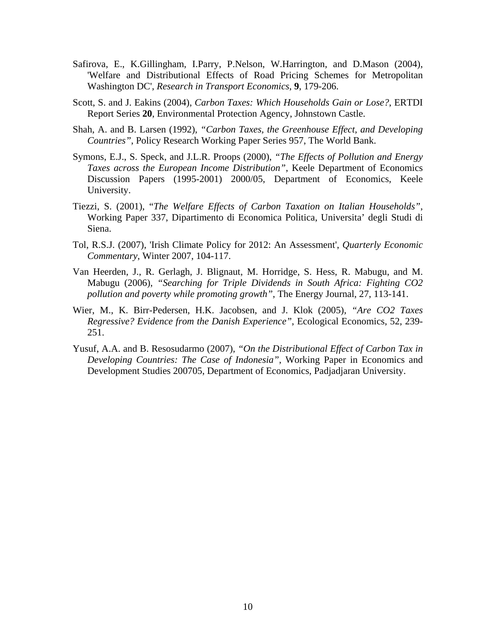- Safirova, E., K.Gillingham, I.Parry, P.Nelson, W.Harrington, and D.Mason (2004), 'Welfare and Distributional Effects of Road Pricing Schemes for Metropolitan Washington DC', *Research in Transport Economics*, **9**, 179-206.
- Scott, S. and J. Eakins (2004), *Carbon Taxes: Which Households Gain or Lose?*, ERTDI Report Series **20**, Environmental Protection Agency, Johnstown Castle.
- Shah, A. and B. Larsen (1992), *"Carbon Taxes, the Greenhouse Effect, and Developing Countries"*, Policy Research Working Paper Series 957, The World Bank.
- Symons, E.J., S. Speck, and J.L.R. Proops (2000), *"The Effects of Pollution and Energy Taxes across the European Income Distribution"*, Keele Department of Economics Discussion Papers (1995-2001) 2000/05, Department of Economics, Keele University.
- Tiezzi, S. (2001), "*The Welfare Effects of Carbon Taxation on Italian Households"*, Working Paper 337, Dipartimento di Economica Politica, Universita' degli Studi di Siena.
- Tol, R.S.J. (2007), 'Irish Climate Policy for 2012: An Assessment', *Quarterly Economic Commentary*, Winter 2007, 104-117.
- Van Heerden, J., R. Gerlagh, J. Blignaut, M. Horridge, S. Hess, R. Mabugu, and M. Mabugu (2006), *"Searching for Triple Dividends in South Africa: Fighting CO2 pollution and poverty while promoting growth"*, The Energy Journal, 27, 113-141.
- Wier, M., K. Birr-Pedersen, H.K. Jacobsen, and J. Klok (2005), *"Are CO2 Taxes Regressive? Evidence from the Danish Experience"*, Ecological Economics, 52, 239- 251.
- Yusuf, A.A. and B. Resosudarmo (2007), *"On the Distributional Effect of Carbon Tax in Developing Countries: The Case of Indonesia"*, Working Paper in Economics and Development Studies 200705, Department of Economics, Padjadjaran University.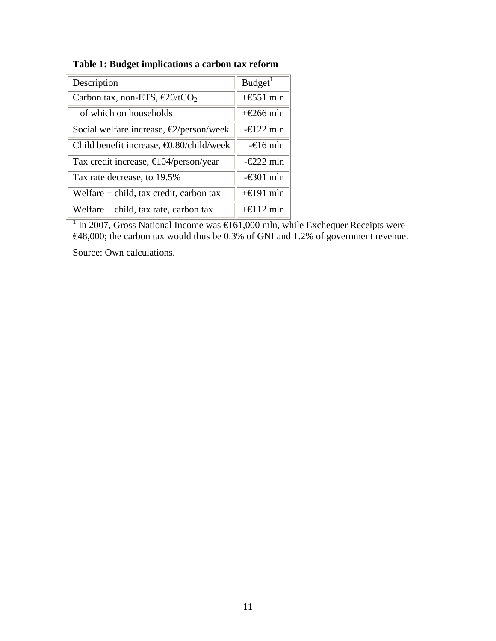**Table 1: Budget implications a carbon tax reform** 

<span id="page-10-0"></span>

| Description                                      | Budget <sup>1</sup> |
|--------------------------------------------------|---------------------|
| Carbon tax, non-ETS, $\epsilon 20/tCO_2$         | $+\epsilon$ 51 mln  |
| of which on households                           | $+\epsilon 266$ mln |
| Social welfare increase, $\epsilon$ /person/week | $-\epsilon$ 122 mln |
| Child benefit increase, $\Theta$ .80/child/week  | $-\epsilon$ 16 mln  |
| Tax credit increase, $\bigoplus$ 04/person/year  | $-\epsilon$ 22 mln  |
| Tax rate decrease, to 19.5%                      | $-\infty$ 01 mln    |
| Welfare $+$ child, tax credit, carbon tax        | $+\epsilon$ 191 mln |
| Welfare $+$ child, tax rate, carbon tax          | $+\epsilon$ 12 mln  |

<sup>1</sup> In 2007, Gross National Income was  $\text{E}$ 61,000 mln, while Exchequer Receipts were €48,000; the carbon tax would thus be 0.3% of GNI and 1.2% of government revenue.

Source: Own calculations.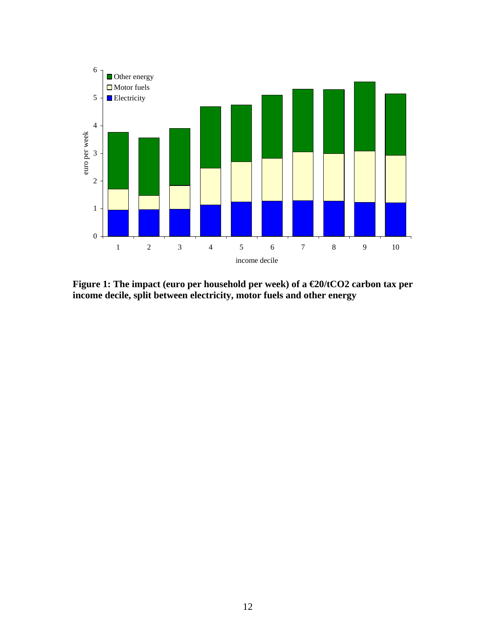

<span id="page-11-0"></span>**Figure 1: The impact (euro per household per week) of a €20/tCO2 carbon tax per income decile, split between electricity, motor fuels and other energy**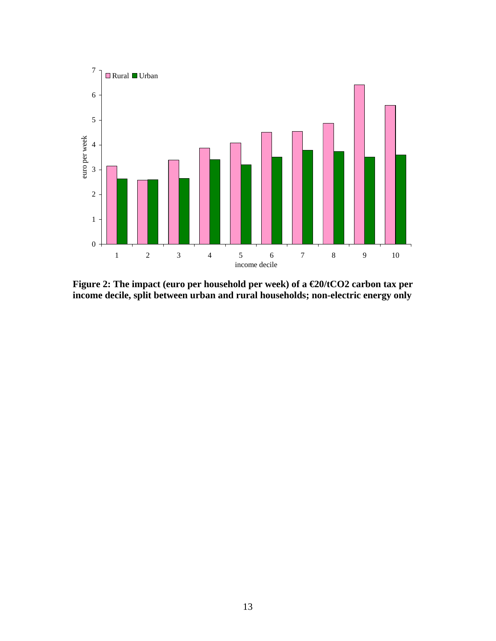

<span id="page-12-0"></span>**Figure 2: The impact (euro per household per week) of a €20/tCO2 carbon tax per income decile, split between urban and rural households; non-electric energy only**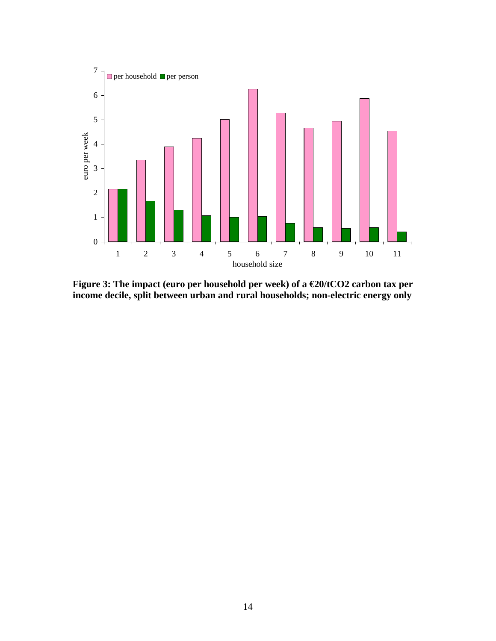

<span id="page-13-0"></span>**Figure 3: The impact (euro per household per week) of a €20/tCO2 carbon tax per income decile, split between urban and rural households; non-electric energy only**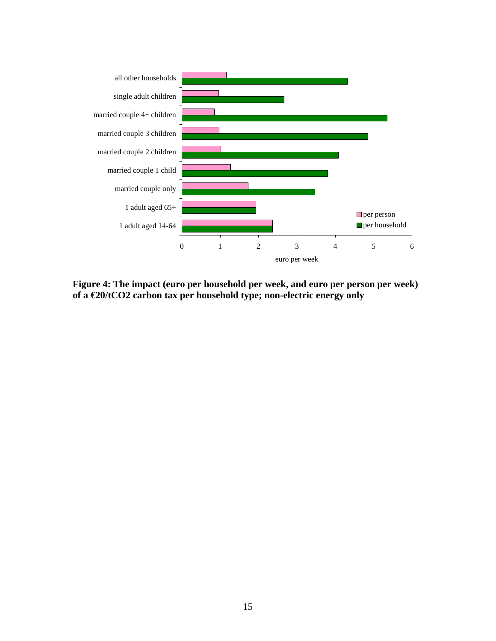

<span id="page-14-0"></span>**Figure 4: The impact (euro per household per week, and euro per person per week) of a €20/tCO2 carbon tax per household type; non-electric energy only**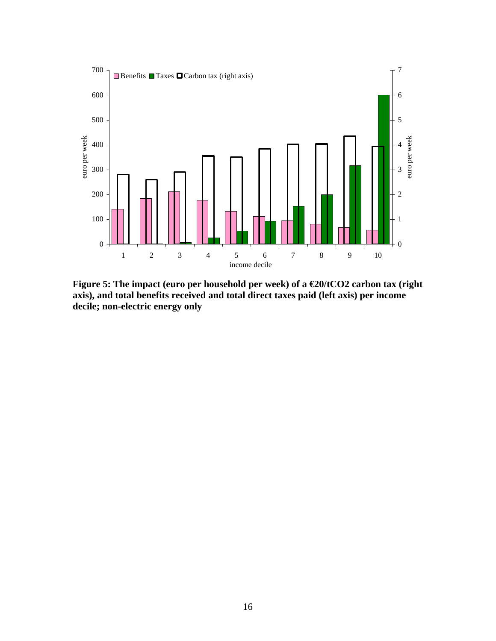

<span id="page-15-0"></span>**Figure 5: The impact (euro per household per week) of a €20/tCO2 carbon tax (right axis), and total benefits received and total direct taxes paid (left axis) per income decile; non-electric energy only**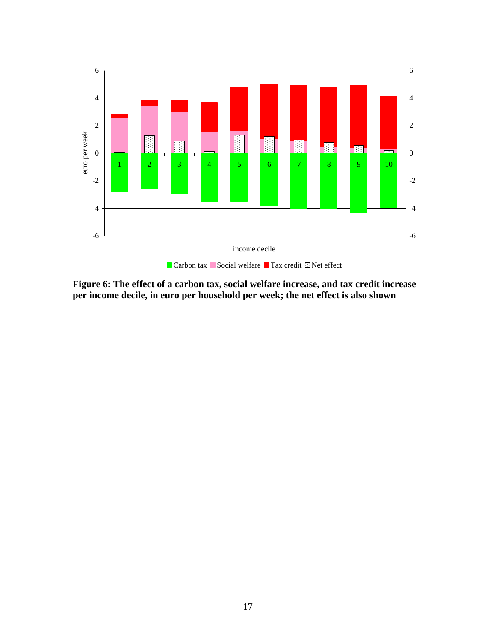

<span id="page-16-0"></span>**Figure 6: The effect of a carbon tax, social welfare increase, and tax credit increase per income decile, in euro per household per week; the net effect is also shown**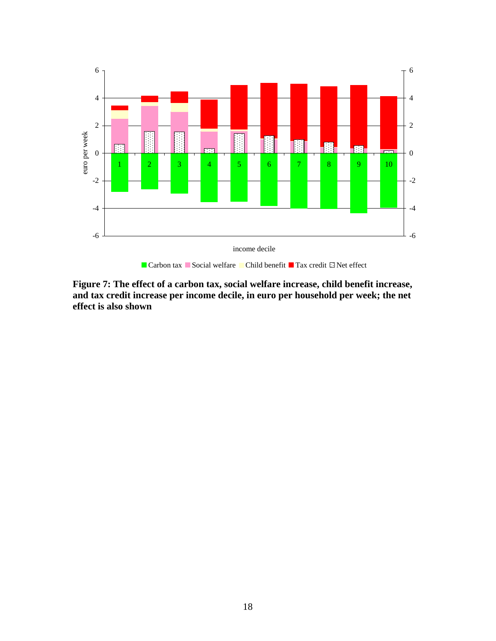

Carbon tax Social welfare Child benefit Tax credit  $\Box$  Net effect

**Figure 7: The effect of a carbon tax, social welfare increase, child benefit increase, and tax credit increase per income decile, in euro per household per week; the net effect is also shown**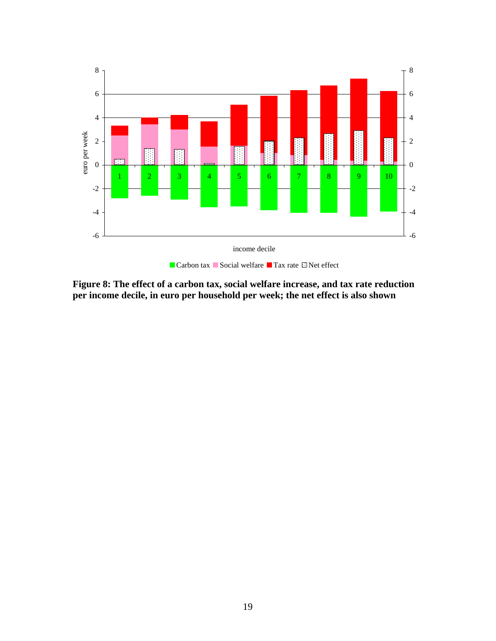

<span id="page-18-0"></span>**Figure 8: The effect of a carbon tax, social welfare increase, and tax rate reduction per income decile, in euro per household per week; the net effect is also shown**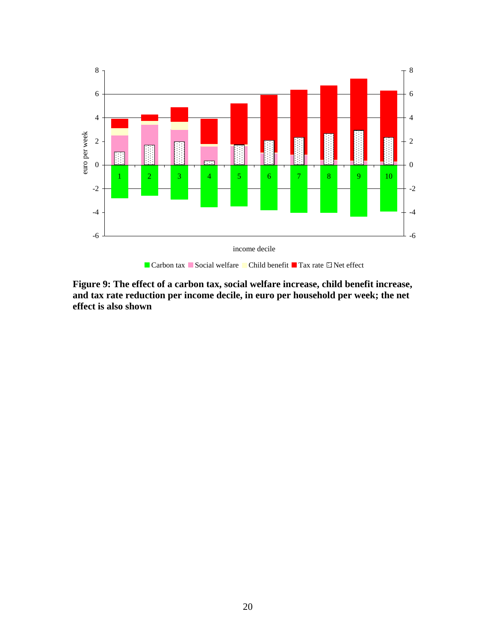

Carbon tax Social welfare Child benefit Tax rate  $\Box$  Net effect

<span id="page-19-0"></span>**Figure 9: The effect of a carbon tax, social welfare increase, child benefit increase, and tax rate reduction per income decile, in euro per household per week; the net effect is also shown**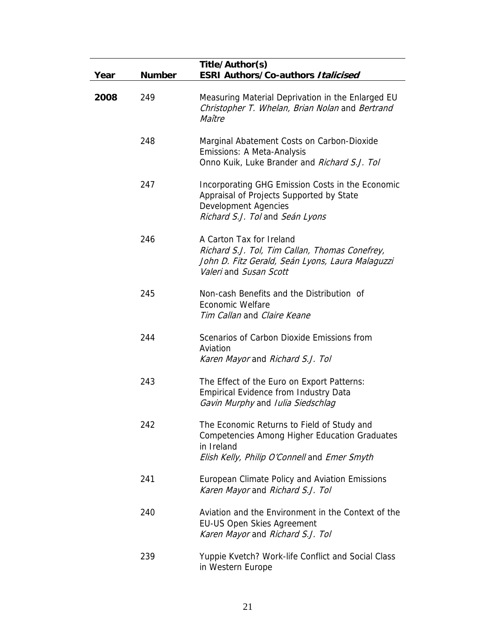| Year | <b>Number</b> | Title/Author(s)<br><b>ESRI Authors/Co-authors Italicised</b>                                                                                                     |
|------|---------------|------------------------------------------------------------------------------------------------------------------------------------------------------------------|
| 2008 | 249           | Measuring Material Deprivation in the Enlarged EU<br>Christopher T. Whelan, Brian Nolan and Bertrand<br>Maître                                                   |
|      | 248           | Marginal Abatement Costs on Carbon-Dioxide<br>Emissions: A Meta-Analysis<br>Onno Kuik, Luke Brander and Richard S.J. Tol                                         |
|      | 247           | Incorporating GHG Emission Costs in the Economic<br>Appraisal of Projects Supported by State<br><b>Development Agencies</b><br>Richard S.J. Tol and Seán Lyons   |
|      | 246           | A Carton Tax for Ireland<br>Richard S.J. Tol, Tim Callan, Thomas Conefrey,<br>John D. Fitz Gerald, Seán Lyons, Laura Malaguzzi<br>Valeri and Susan Scott         |
|      | 245           | Non-cash Benefits and the Distribution of<br><b>Economic Welfare</b><br>Tim Callan and Claire Keane                                                              |
|      | 244           | Scenarios of Carbon Dioxide Emissions from<br>Aviation<br>Karen Mayor and Richard S.J. Tol                                                                       |
|      | 243           | The Effect of the Euro on Export Patterns:<br><b>Empirical Evidence from Industry Data</b><br>Gavin Murphy and Iulia Siedschlag                                  |
|      | 242           | The Economic Returns to Field of Study and<br><b>Competencies Among Higher Education Graduates</b><br>in Ireland<br>Elish Kelly, Philip O'Connell and Emer Smyth |
|      | 241           | European Climate Policy and Aviation Emissions<br>Karen Mayor and Richard S.J. Tol                                                                               |
|      | 240           | Aviation and the Environment in the Context of the<br><b>EU-US Open Skies Agreement</b><br>Karen Mayor and Richard S.J. Tol                                      |
|      | 239           | Yuppie Kvetch? Work-life Conflict and Social Class<br>in Western Europe                                                                                          |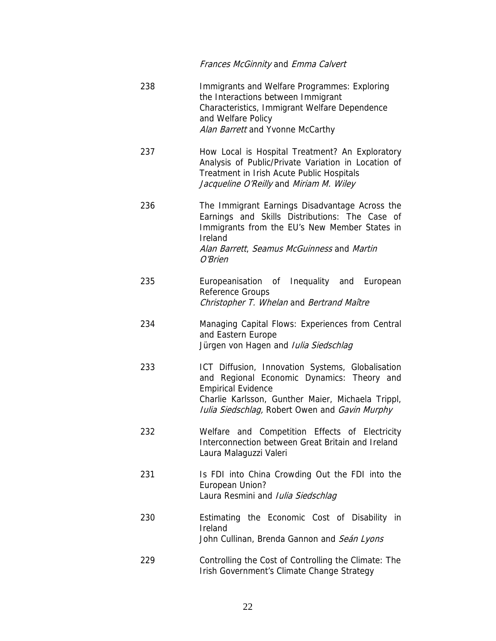Frances McGinnity and Emma Calvert 238 Immigrants and Welfare Programmes: Exploring the Interactions between Immigrant Characteristics, Immigrant Welfare Dependence and Welfare Policy Alan Barrett and Yvonne McCarthy 237 How Local is Hospital Treatment? An Exploratory Analysis of Public/Private Variation in Location of Treatment in Irish Acute Public Hospitals Jacqueline O'Reilly and Miriam M. Wiley 236 The Immigrant Earnings Disadvantage Across the Earnings and Skills Distributions: The Case of Immigrants from the EU's New Member States in Ireland Alan Barrett, Seamus McGuinness and Martin O'Brien 235 Europeanisation of Inequality and European Reference Groups Christopher T. Whelan and Bertrand Maître 234 Managing Capital Flows: Experiences from Central and Eastern Europe Jürgen von Hagen and *Iulia Siedschlag* 233 ICT Diffusion, Innovation Systems, Globalisation and Regional Economic Dynamics: Theory and Empirical Evidence Charlie Karlsson, Gunther Maier, Michaela Trippl, Iulia Siedschlag, Robert Owen and Gavin Murphy 232 Welfare and Competition Effects of Electricity Interconnection between Great Britain and Ireland Laura Malaguzzi Valeri 231 Is FDI into China Crowding Out the FDI into the European Union? Laura Resmini and *Iulia Siedschlag* 230 Estimating the Economic Cost of Disability in Ireland John Cullinan, Brenda Gannon and Seán Lyons

229 Controlling the Cost of Controlling the Climate: The Irish Government's Climate Change Strategy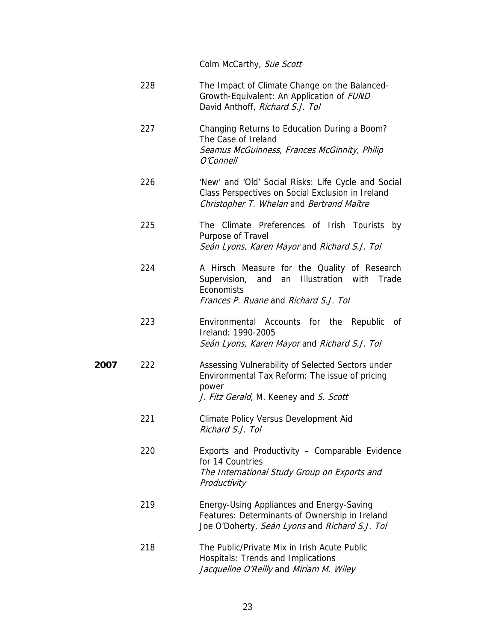Colm McCarthy, Sue Scott

- 228 The Impact of Climate Change on the Balanced-Growth-Equivalent: An Application of FUND David Anthoff, *Richard S.J. Tol*
- 227 Changing Returns to Education During a Boom? The Case of Ireland Seamus McGuinness, Frances McGinnity, Philip O'Connell
- 226 'New' and 'Old' Social Risks: Life Cycle and Social Class Perspectives on Social Exclusion in Ireland Christopher T. Whelan and Bertrand Maître

#### 225 The Climate Preferences of Irish Tourists by Purpose of Travel Seán Lyons, Karen Mayor and Richard S.J. Tol

- 224 A Hirsch Measure for the Quality of Research Supervision, and an Illustration with Trade **Economists** Frances P. Ruane and Richard S.J. Tol
- 223 Environmental Accounts for the Republic of Ireland: 1990-2005 Seán Lyons, Karen Mayor and Richard S.J. Tol
- **2007** 222 Assessing Vulnerability of Selected Sectors under Environmental Tax Reform: The issue of pricing power J. Fitz Gerald, M. Keeney and S. Scott
	- 221 Climate Policy Versus Development Aid Richard S.J. Tol
	- 220 Exports and Productivity Comparable Evidence for 14 Countries The International Study Group on Exports and **Productivity**
	- 219 Energy-Using Appliances and Energy-Saving Features: Determinants of Ownership in Ireland Joe O'Doherty, Seán Lyons and Richard S.J. Tol
	- 218 The Public/Private Mix in Irish Acute Public Hospitals: Trends and Implications Jacqueline O'Reilly and Miriam M. Wiley